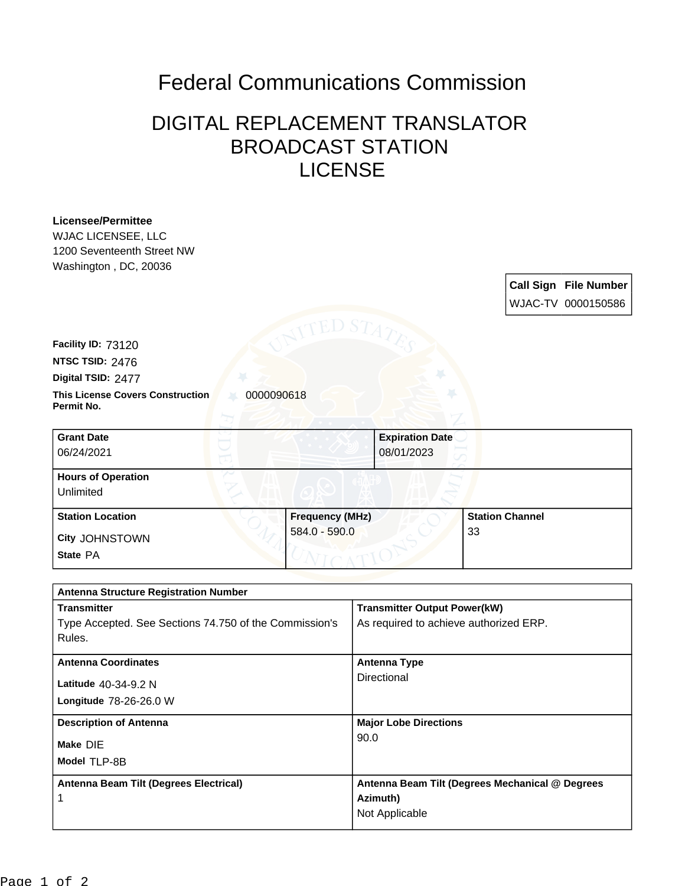## Federal Communications Commission

## DIGITAL REPLACEMENT TRANSLATOR BROADCAST STATION LICENSE

| <b>WJAC LICENSEE, LLC</b>                                           |                                                 |
|---------------------------------------------------------------------|-------------------------------------------------|
| 1200 Seventeenth Street NW                                          |                                                 |
| Washington, DC, 20036                                               |                                                 |
|                                                                     | <b>Call Sign File Number</b>                    |
|                                                                     | WJAC-TV 0000150586                              |
| TED S                                                               |                                                 |
|                                                                     |                                                 |
| Facility ID: 73120                                                  |                                                 |
| NTSC TSID: 2476                                                     |                                                 |
| Digital TSID: 2477                                                  |                                                 |
| <b>This License Covers Construction</b><br>0000090618<br>Permit No. |                                                 |
|                                                                     |                                                 |
| <b>Grant Date</b>                                                   | <b>Expiration Date</b>                          |
| 06/24/2021                                                          | 08/01/2023                                      |
|                                                                     |                                                 |
| <b>Hours of Operation</b>                                           |                                                 |
| Unlimited                                                           |                                                 |
| <b>Station Location</b><br><b>Frequency (MHz)</b>                   | <b>Station Channel</b>                          |
| 584.0 - 590.0<br><b>City JOHNSTOWN</b>                              | 33                                              |
| State PA                                                            |                                                 |
|                                                                     |                                                 |
| <b>Antenna Structure Registration Number</b>                        |                                                 |
| <b>Transmitter</b>                                                  | <b>Transmitter Output Power(kW)</b>             |
| Type Accepted. See Sections 74.750 of the Commission's              | As required to achieve authorized ERP.          |
| Rules.                                                              |                                                 |
|                                                                     |                                                 |
| <b>Antenna Coordinates</b>                                          | <b>Antenna Type</b>                             |
| Latitude 40-34-9.2 N                                                | Directional                                     |
| Longitude 78-26-26.0 W                                              |                                                 |
| <b>Description of Antenna</b>                                       | <b>Major Lobe Directions</b>                    |
| Make DIE                                                            | 90.0                                            |
| Model TLP-8B                                                        |                                                 |
|                                                                     |                                                 |
| Antenna Beam Tilt (Degrees Electrical)                              | Antenna Beam Tilt (Degrees Mechanical @ Degrees |

**Azimuth)** Not Applicable

1

**Licensee/Permittee**